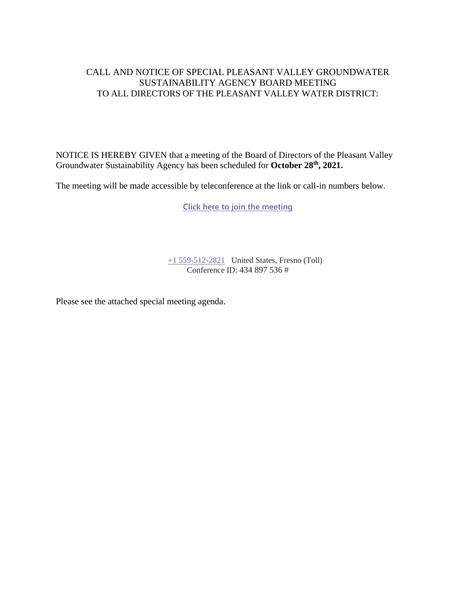### CALL AND NOTICE OF SPECIAL PLEASANT VALLEY GROUNDWATER SUSTAINABILITY AGENCY BOARD MEETING TO ALL DIRECTORS OF THE PLEASANT VALLEY WATER DISTRICT:

NOTICE IS HEREBY GIVEN that a meeting of the Board of Directors of the Pleasant Valley Groundwater Sustainability Agency has been scheduled for **October 28th , 2021.**

The meeting will be made accessible by teleconference at the link or call-in numbers below.

**[Click here to join the meeting](https://teams.microsoft.com/l/meetup-join/19%3ameeting_MWEzNzA4ZTgtNmZjYy00YTYzLTk1YWEtODlhYzFhNDVlNTdi%40thread.v2/0?context=%7b%22Tid%22%3a%22a6cf659f-2360-4ff9-9e8d-045f48434ada%22%2c%22Oid%22%3a%22d7c07c21-aea1-4965-a48d-46a35d2818b4%22%7d)**

[+1 559-512-2821](tel:+15595122821,,85232084# ) United States, Fresno (Toll) Conference ID: 434 897 536 #

Please see the attached special meeting agenda.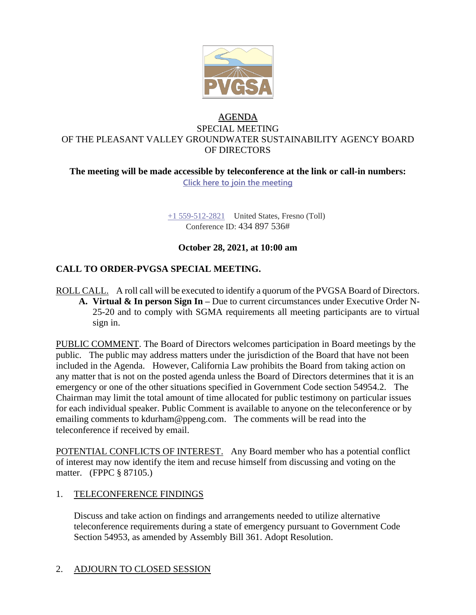

# AGENDA SPECIAL MEETING OF THE PLEASANT VALLEY GROUNDWATER SUSTAINABILITY AGENCY BOARD OF DIRECTORS

#### **The meeting will be made accessible by teleconference at the link or call-in numbers: Click here to join the meeting**

+1 559-512-2821 United States, Fresno (Toll) Conference ID: 434 897 536#

# **October 28, 2021, at 10:00 am**

# **CALL TO ORDER-PVGSA SPECIAL MEETING.**

ROLL CALL. A roll call will be executed to identify a quorum of the PVGSA Board of Directors. **A. Virtual & In person Sign In –** Due to current circumstances under Executive Order N-25-20 and to comply with SGMA requirements all meeting participants are to virtual sign in.

PUBLIC COMMENT. The Board of Directors welcomes participation in Board meetings by the public. The public may address matters under the jurisdiction of the Board that have not been included in the Agenda. However, California Law prohibits the Board from taking action on any matter that is not on the posted agenda unless the Board of Directors determines that it is an emergency or one of the other situations specified in Government Code section 54954.2. The Chairman may limit the total amount of time allocated for public testimony on particular issues for each individual speaker. Public Comment is available to anyone on the teleconference or by emailing comments to kdurham@ppeng.com. The comments will be read into the teleconference if received by email.

POTENTIAL CONFLICTS OF INTEREST. Any Board member who has a potential conflict of interest may now identify the item and recuse himself from discussing and voting on the matter. (FPPC § 87105.)

# 1. TELECONFERENCE FINDINGS

Discuss and take action on findings and arrangements needed to utilize alternative teleconference requirements during a state of emergency pursuant to Government Code Section 54953, as amended by Assembly Bill 361. Adopt Resolution.

# 2. ADJOURN TO CLOSED SESSION